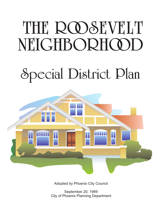# THE ROOSEVELT NEIGHBORHOOD

## Special District Plan



Adopted by Phoenix City Council

September 20, 1989 City of Phoenix Planning Department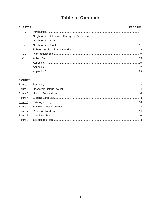## **Table of Contents**

#### PAGE NO. **CHAPTER**  $\mathbf{L}$  $II.$  $III.$ IV.  $V_{1}$  $VI.$ VII.

#### **FIGURES**

| Figure I |  |
|----------|--|
| Figure 2 |  |
| Figure 3 |  |
| Figure 4 |  |
| Figure 5 |  |
| Figure 6 |  |
| Figure 7 |  |
| Figure 8 |  |
| Figure 9 |  |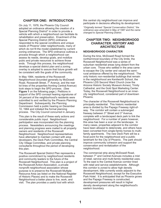#### **CHAPTER ONE: INTRODUCTION**

On July 11, 1978, the Phoenix City Council adopted an ordinance allowing the creation of a Special Planning District<sup>\*</sup> in order to provide a vehicle with which a neighborhood can facilitate its rehabilitation and preservation. Enactment of the Special Planning District (SPD) ordinance responded to the special conditions and unique needs of Phoenix' older neighborhoods, many of which do not fit the model established by current zoning ordinances. The SPD ordinance outlines a process through which a neighborhood can assess its needs, develop goals, and mobilize pubic and private resources to achieve those ends. Through this process, the neighborhood develops a special district plan and a zoning overlay is adopted to assure that future growth will be consistent with the goals of the community.

In May 1984, residents of the Roosevelt Neighborhood (bounded generally by McDowell Road, Roosevelt Street, 7<sup>th</sup> Avenue, and the rear lot lines of the properties fronting Central Avenue) took steps to begin the SPD process. (See **Figure 1** on the following page.) Petitions in support of the SPD concept hearing signatures of 34 percent of the neighborhood's residents were submitted to and verified by the Phoenix Planning Department. Subsequently, the Planning Commission held a public hearing on December 10, 1984 and initiated the formal planning process. The City Council concurred in January.

This plan is the result of these early actions and considerable public input. Neighborhood participation was incorporated into the planning process. Newsletters announcing the meetings and planning progress were mailed to all property owners and residents of the Roosevelt Neighborhood. Neighborhood representatives have attempted to maintain contact with area developers, the Deck Park Committee, the Central City Village Committee, and private planning consultants throughout the period of developing this plan.

The Roosevelt Special District Plan represents a positive commitment by neighborhood residents and community leaders to the future of the Roosevelt Neighborhood. This plan is a project of the Roosevelt Action Association, a private nonprofit neighborhood association whose purpose is to preserve the Roosevelt Multiple Resource Area (as listed on the National Register of Historic Places) and to make the Roosevelt Neighborhood a better place to live, work, and visit. The plan provides a useful tool with which

this central city neighborhood can improve and participate in decisions affecting its development.

*\*Originally termed "Special Conservation District," the ordinance was amended in May of 1987 and the name changed to Special Planning District.*

#### **CHAPTER TWO: NEIGHBORHOOD CHARACTER, HISTORY AND ARCHITECTURE**

#### **NEIGHBORHOOD CHARACTER**

During the time, McDowell Road formed the northernmost boundary of the City limits; the Roosevelt Neighborhood was a series of suburban residential areas lying distant from the urban core. Those who settled in the area came to escape the City center and valued the semirural ambiance offered by the neighborhood. The only historic non-residential buildings that remain in the neighborhood are Kenilworth School, the Phoenix LDS Second Ward Church (now the Arizona Historic Society Museum Annex), Trinity Cathedral, and the Gold Spot Marketing Center. Today, the Roosevelt Neighborhood is an innercity neighborhood, considered part of downtown Phoenix.

The character of the Roosevelt Neighborhood is principally residential. This historic residential area is divided by the Papago Freeway right-ofway. The corridor will contain a submerged freeway between  $3^{\text{rd}}$  Street and  $3^{\text{rd}}$  Avenue, complete with a landscaped deck park to link the neighborhood. For a number of years however, this area has been a scar on the landscape. In many cases, properties adjacent to the corridor have been allowed to deteriorate, and others have been converted from single-family homes to multifamily apartments. The new Deck Park will be a focal point for the neighborhood and a public landmark for the City of Phoenix. The park should improve community cohesion and support the conservation and revitalization of the neighborhood.

The commercial strip along McDowell Road, between  $7<sup>th</sup>$  and Central Avenues includes a mist of retail, service and multi-family residential uses. To the east is the Central Avenue corridor lined with retail and service establishments. Although this corridor is zoned to allow high density development, little currently exists adjacent to the Roosevelt Neighborhood, except for the Executive Park Hotel. It is anticipated that as Phoenix grows and the Papago Freeway is constructed, development pressures will result in higher density development along the neighborhood's eastern boundary.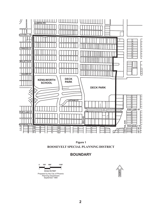



## **BOUNDARY**

**0 330' 1320' 660' SCALE IN FEET**

Prepared by the City of Phoenix Planning Department September 1989

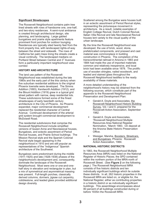#### **Significant Streetscapes**

The Roosevelt Neighborhood contains palm tree lined streets with rows of handsome one, one-half, and two-story residences. A semi-rural ambiance is created through architectural design, site planning, and landscaping. Large gabled bungalows and prairie style apartments feature prominent front porches for outdoor lounging. Residences are typically sited twenty feet from the front property line, with landscaped rights-of-way between the street and sidewalk. The rows of California fan palm trees lining the streets create a visual continuity. The landscaped medians on Portland Street between Central and  $3<sup>rd</sup>$  Avenues form a particularly important neighborhood view corridor.

#### **HISTORY AND ARCHITECTURE**

The land use pattern of the Roosevelt Neighborhood was established during the late 1980s and the early part of the this century when five suburban residential additions to the original Phoenix townsite were developed. The Simms Addition (1893), Kenilworth Addition (1912), and the Blount Addition (1919) grew in a typical grid street pattern with narrow, deep residential lots. These subdivisions formed some of the finest streetscapes of early twentieth century architecture in the City of Phoenix. As Phoenix expanded, major commercial development replaced the residential character of Central Avenue. Continued development of the arterial grid system brought commercial development to McDowell Road.

The residential subdivisions that comprise the Roosevelt Neighborhood include simplified versions of Queen Anne and Neoclassical houses, Bungalows, and eclectic assortment of Period Revival houses, and Prairie School buildings. The Mission Revival style and the Spanish Colonial Revival style began appearing in the neighborhood in 1910 and are still popular as representatives of the "Indigenous" Spanish architecture of the Southwest.

Bungalows were predominant during the middle (1911-1925) and late (1926-1938) phases of the neighborhood's development and, consequently, dominate the landscape of the Roosevelt Neighborhood. Most were one or one-and-onehalf story in elevation and rectangular in plan, but a mix of symmetrical and asymmetrical massing was present. Full-length porches, classically derived columns, dormers, jigsaw cut carpentry, cobblestone, and leaded glass provided additional design diversity.

Scattered among the Bungalow were houses built in an eclectic assortment of Period Revival styles, representing the picturesque movement in architecture. As a result, notable examples of English Cottage Revival, Dutch Colonial Revival, Italian Villa Revival and late Neoclassical Revival houses lent variety to the visual quality of the urban landscape.

By the time the Roosevelt Neighborhood was developed, the use of brick, wood, stone, prefabricated components, and pressed and cast material was commonplace in building construction in Phoenix. The completion of the transcontinental railroad in Arizona in 1883 and 1884 had made the use of imported materials common and relatively inexpensive, and local brick had been available since 1878. The prolific use of wooden shingles, nailed woodwork, and leaded and stained glass throughout the Roosevelt Neighborhood testifies to the ready availability of these materials.

A more detailed understanding of the neighborhood's history may be obtained from the following sources, which constitute part of the appendix to the Roosevelt Neighborhood Preservation and Development Plan:

- Gerald A. Doyle and Associates, the Survey, Vol. I and II, prepared for the Roosevelt Action Association, September 1982. Roosevelt Neighborhood Historic Building
- Gerald A. Doyle and Associates, "Roosevelt Neighborhood Multiple Resources Area National Register Nomination, "March 1983. On deposit at the Arizona State Historic Preservation Office.
- Weisiger, Marsha, Boosters, Streetcars, and Bungalows, Phoenix: Roosevelt Action Association, 1984.

#### **NATIONAL HISTORIC DISTRICTS**

In 1983, the Roosevelt Neighborhood Multiple Resources Area (MRA) was listed on the National Register of Historic Places; the SPD contained within the northern portion of the MRA-north of Roosevelt Street. (See Figure 2 on the following page.) The Roosevelt Neighborhood MRA consists of five historic districts and ten individually significant buildings which lie outside these districts. In all, 262 historic properties in the Roosevelt MRA are listed on, or eligible for, the National Register, either as contributing properties in a historic district or as individually significant buildings. This assemblage encompasses about 80 percent of all buildings constructed during or before 1935in the Roosevelt MRA.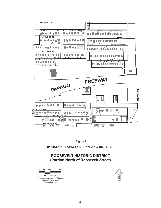

**Figure 2**

**ROOSEVELT SPECIAL PLANNING DISTRICT**

## **ROOSEVELT HISTORIC DISTRICT (Portion North of Roosevelt Street)**

**0 330' 1320' 660' SCALE IN FEET** Prepared by the City of Phoenix Planning Department September 1989

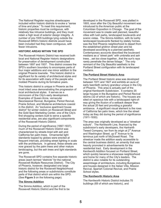The National Register requires streetscapes included within historic districts to evoke a "sense of time and place." To meet this requirement, historic properties must be contiguous, with relatively few intrusive buildings, and they must retain a high level of exterior design integrity. A number of pre-1935 buildings lying outside the Roosevelt MRA's historic districts would have been included had they been contiguous, with fewer intrusions.

#### **HISTORIC AREAS WITHIN THE SPD**

The Roosevelt Historic District has received both local and National Register historic designations for preservation of development constructed between 1897 and 1937. This district crosses the SPD's southern boundary to encompass parts of four major additions and one minor addition to the original Phoenix townsite. This historic district is significant for its variety of architectural styles and for its association with many of the people who molded Phoenix during its formative years.

This historic district is unique in Phoenix as the most intact area demonstrating the progression of local architectural styles. It serves as a microcosm of the City's early development. Examples of Queen Anne, vernacular Neoclassical Revival, Bungalow, Period Revival, Prairie School, and Moderne architecture coexist in the district. An "exclusive apartment house district" for winter visitors on Roosevelt Street and the Gold Spot Marketing Center, one of the City's first shopping centers built to serve a specific residential area, are also significant components of the Roosevelt Historic District.

During the period of significance (1897-1937), much of the Roosevelt Historic District was characterized by streets lined with ash and California fan palm trees. Ornamental light standards topped by globes were erected at frequent intervals, providing street lighting in scale with the architecture. In general, these streets are now graced by the palm trees and other mature landscaping, but the ash trees and light standards are gone.

The Roosevelt SPD contains five separate historic areas (each termed "districts" for the national Roosevelt Multiple Resources District). The City of Phoenix, however, designated one large historic district for the Roosevelt Neighborhood and the following areas or subdivisions constitute parts of that district which are within the SPD. (See **Figure 3** on the following page).

#### **The Simms Addition**

The Simms Addition, which is part of the Roosevelt Historic District and the first to be developed in the Roosevelt SPD, was platted in 1893, soon after the City Beautiful movement was introduced to the American public at the Columbian Exposition in Chicago. The goal of the movement was to create well planned, beautiful cities with lush parks, landscaped boulevards and scenic vistas. The Simms Addition, with its lushly landscaped boulevards flanked by stately homes, was the first Phoenix neighborhood to depart from the established gridiron street plan and be developed according to a planned aesthetic. Contemporary accounts described the boulevard medians as a "street park" with umbrella and ash trees…set too close together...that the sun's rays rarely penetrate the dense foliage." The only remnant of the City Beautiful aesthetic is the Portland Street configuration with its landscaped medians.

#### **The Portland Street Historic Area**

The Portland Street historic area was developed between 1911 and 1927 and exhibits an aura of early twentieth century grandeur unique in the City of Phoenix. This area is actually part of the original Kenilworth Subdivision. It contains 35 large houses in the Bungalow and Period Revival idioms (32 of which are historic). The houses are sited on spacious lots with a landscaped right-ofway giving the illusion of a setback deeper than the actual 20 feet and providing a graceful ambiance. A significant visual element is the rows of California fan palm trees, which line the street today as they did during the period of significance (1911-1930).

The area was originally developed as a "streetcar suburb". The Kenilworth Line, financed by the subdivision's early developers, the Hartranft-Tweed Company, ran from its origin at 2<sup>nd</sup> Avenue and Washington Street, up 5<sup>th</sup> Avenue to its terminus just north of McDowell Road. The streetcar made the addition easily accessible to the central business district, an amenity that was heavily promoted in advertisements for the residential tract. Early development in the Kenilworth Addition focused on Portland Street, which quickly became a showcase neighborhood and home for many of the City's leaders. The district is also notable for its outstanding assemblage of architecture, including Bungalows and houses designed in the Italian Villa, Mission Revival, Spanish Colonial Revival, and Prairie School styles.

#### **The Kenilworth Historic Area**

The Kenilworth Historic District includes 70 buildings (69 of which are historic), and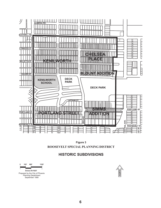



## **HISTORIC SUBDIVISIONS**

**0 330' 1320' 660' SCALE IN FEET** Prepared by the City of Phoenix Planning Department

September 1989

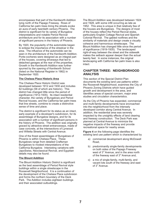encompasses that part of the Kenilworth Addition lying north of the Papago Freeway. Rows of California fan palm trees lining the streets evoke an aura of early twentieth century Phoenix. The district is significant for its variety of Bungalow interpretations and notable Period Revival architecture and for its association with a number of significant persons in the history of Phoenix.

By 1920, the popularity of the automobile began to eclipse the importance of the streetcar in the area. The influence of the automobile can be seen in the architecture of the Kenilworth Addition. Porte-cocheres were designed as an integral part of the houses, covering driveways that led to detached garages at the rear of the properties. Growth in the Kenilworth Addition was further spurred by the opening of Kenilworth School (listed on the National Register in 1982) in September 1920.

#### **The Chelsea Place Historic Area**

The Chelsea Place Historic District was developed between 1912 and 1930 and includes 62 buildings (58 of which are historic). This district has changed little since the period of significance (1912-1935). Its intact residential character, the variety of Bungalows and Period Revival houses, and the California fan palm trees that line streets, combine to create a distinctive sense of time and place.

The district is significant for its status as an intact, early example of a developer's subdivision, for its assemblage of Bungalow designs, and for its association with a number of significant persons in the history of Phoenix. The addition was originally graced by attractive street entranceways, made of case concrete, at the intersections of Lynwood and Willetta Streets with Central Avenue.

One of the finest assemblages of Bungalows of Phoenix is within Chelsea Place. These Bungalows range from detailed Craftsman Bungalows to modest interpretations of the California Bungalow. Interesting variations with JapoSwiss, Neoclassical Revival, and Egyptian details may also be found.

#### **The Blount Addition**

The Blount Addition Historic District is significant as the best assemblage of Period Revival style buildings within a single streetscape in the Roosevelt Neighborhood. It is a continuation of the development of the Chelsea Place subdivision and forms the northern boundary of the Deck Park. The Addition includes eighteen buildings and their associated outbuildings.

The Blount Addition was developed between 1924 and 1928, with some infill occurring as late as 1952. This area is unique in that relatively few of the houses are Bungalows. The designs of most of the houses reflect the Period Revival styles, particularly English Cottage Revival and Spanish Colonial Revival. The gabled rooflines and the similarity of materials and design create a visually cohesive and harmonious streetscape. The Blount Addition has changed little since the period of significance (1919-1935). The landscaped right-of-way between the street and the sidewalk makes the setback appear deeper than the actual twenty feet. In some instances, the original landscaping with California fan palm trees is also intact.

#### **CHAPTER THREE: NEIGHBORHOOD ANALYSIS**

This section of the Special District Plan documents the existing land use patterns within the Roosevelt Neighborhood, examines the City of Phoenix Zoning Districts which have guided growth and development in the area, and identifies areas of special concern, major area studies and circulation characteristics.

As the City of Phoenix has expanded, commercial and multi-family developments have encroached into the neighborhood from the intensely developed corridor along Central Avenue. In addition, the residential area was severely impacted by the unsightly effects of land clearing and freeway construction. The Deck Park was planned at Central Avenue to minimize the negative impacts of the freeway and provide recreational space for nearby areas.

**Figure 4** on the following page identifies the existing land use pattern which is characterized by

- a) commercial development along McDowell Road,
- b) predominantly single-family developments on both sides of the Papago Freeway west of 3 $^{\prime\prime}$  Avenue, and in the area north of the freeway east of  $3<sup>rd</sup>$  Avenue and,
- c) a mix of single-family, multi-family, and vacant lots south of the freeway and east of 3<sup>rd</sup> Avenue.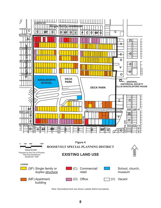

Note: Generalized land use shown outside district boundaries.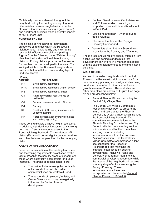Multi-family uses are allowed throughout the neighborhood by the existing zoning. Figure 4 differentiates between single-family or duplex structures (sometimes including a guest house) and apartment buildings which generally consist of four or more units.

#### **EXISTING ZONING**

The existing zoning allows for four general categories of land use within the Roosevelt Neighborhood: single-family and multi-family residential, office commercial, and parking. **Figure 5** on the following page, "Existing Zoning", identifies the location of the different zoning districts. Zoning districts provide the framework for how land can be developed in the area. The zoning districts in the Roosevelt Neighborhood are listed below with the corresponding type of land use allowed.

#### **Zoning Category Uses Allowed**

| ,,,,,,,,, | ------------                               |
|-----------|--------------------------------------------|
| $R-4$     | Single-family, apartments                  |
| R-4A      | Single-family, apartments (higher density) |
| $R-5$     | Single-family, apartments, offices         |

- C-1 Retail commercial, retail, offices or residential
- C-2 General commercial, retail, offices or
- P-1 Parking
- RI Residential infill overlay (combines with underlying zoning)
- HP Historic preservation overlay (combines with underlying zoning)

These zoning districts all have height restrictions. In addition, high-rise incentive zoning exists along portions of Central Avenue adjacent to the Roosevelt Neighborhood. The residential infill district (R-I) would permit slightly greater densities and other features not permitted by the underlying district.

#### **AREAS OF SPECIAL CONCERN**

Based upon evaluation of the existing land uses and the zoning requirements established by the City of Phoenix, the primary areas of concern are those where potentially incompatible land uses interface. The areas of special concern are:

- The residential area along the north side of Lynwood Street which borders commercial uses on McDowell Road;
- The east ends of Lynwood, Willetta, and ٠ Culver Streets which may be negatively influenced by Central Avenue development;
- Portland Street between Central Avenue and 3<sup>rd</sup> Avenue which has a high proportion of vacant lots and is adjacent to Deck Park;
- Lots along and near  $7<sup>th</sup>$  Avenue due to traffic volumes;
- The areas that border the Papago Freeway Corridor and;
- Vacant lots along Latham Street due to proximity to the freeway and  $3<sup>rd</sup>$  Avenue.

These areas should receive special attention from a land use and zoning standpoint so that development can evolve in a manner compatible with the existing neighborhood fabric and historic buildings.

#### **AREA STUDIES**

12 and are described below: As one of the oldest neighborhoods in central Phoenix, the Roosevelt Neighborhood is a focal point for many planning and design studies being conducted in an effort to direct and enhance growth in central Phoenix. These studies and other area plans are shown on Figure 6 on page

General Plan for Phoenix including the Central City Village Plan

The Central City Village Committee's responsibility has been to prepare the future land use plan for the Phoenix Central City Urban Village, which includes the Roosevelt Neighborhood. The committee's recommendations to the Phoenix Planning Commission and City Council reflected, to some degree, the points of view of all of the committees studying the area, including recommendations from the Roosevelt Action Association. The Central City Village Committee recommended a land use concept for the Roosevelt Neighborhood that maintains the character established by existing development. McDowell Road and Central Avenue remain high intensity commercial development corridors while the interior of the neighborhood remains primarily single-family, even along the Papago Freeway. These recommendations have been incorporated into the adopted General . Plan for Phoenix: 1985-2000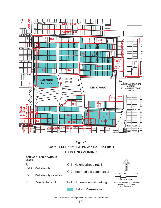



## **EXISTING ZONING**



Note: Generalized zoning shown outside district boundaries.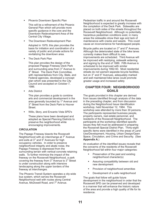Phoenix Downtown Specific Plan

This will be a refinement of the Phoenix General Plan which will provide more specific guidance in the core and the Downtown Redevelopment Area of the Central City Village.

The Downtown Redevelopment Plan

Adopted in 1979, this plan provides the basis for initiation and coordination of a variety of public and private actions for revitalizing the downtown area.

The Deck Park Plan

This plan provides the design of the proposed Papago Freeway Deck Park and surrounding area from  $3<sup>rd</sup>$  Avenue to 3<sup>rd</sup> Street. The Deck Park Committee, with representatives from City, State, and Federal agencies, developed a concept plan which was presented to the City Council and accepted on October 7, 1986.

Arts District

This plan provides a guide to combine arts and commercial development in the area generally bounded by 1<sup>st</sup> Avenue and 3<sup>rd</sup> Street from the Deck Park to Hoover Street.

Willo, Story, and Encanto Vista SPD's

These plans have been developed and adopted as Special Planning Districts to preserve the neighborhood while encouraging improvements.

#### **CIRCULATION**

The Papago Freeway bisects the Roosevelt Neighborhood with an interchange at  $7<sup>th</sup>$  Avenue and exits at  $3<sup>rd</sup>$  and  $5<sup>th</sup>$  Avenues for high occupancy vehicles. In order to preserve neighborhood integrity and abate noise, the Papago Freeway is depressed from the surrounding terrain with vertical concrete retaining walls. To further minimize the impact of the freeway on the Roosevelt Neighborhood, a park covering the freeway from  $3<sup>rd</sup>$  Avenue to  $3<sup>rd</sup>$  Street is under construction along with intensive landscaping along the upper borders of the freeway at interchanges.

The Phoenix Transit System operates a city-wide bus system, which serves the Roosevelt Neighborhood well with routes along Central Avenue, McDowell Road, and 7<sup>th</sup> Avenue.

Pedestrian traffic in and around the Roosevelt Neighborhood is expected to greatly increase with the completion of the Deck Park. Sidewalks are placed on both sides of the streets throughout the Roosevelt Neighborhood. Although no potentially hazardous pedestrian conditions exist, in many areas the sidewalks show their age and lack of maintenance with cracks and weeds. This could cause an inconvenience for handicapped people.

Bicycle paths are located on  $3<sup>rd</sup>$  and  $5<sup>th</sup>$  Avenues. Although the deteriorated state of the bike lanes currently makes them difficult to see, improvements are scheduled. Third Avenue will be improved with restriping, sidewalk widening and signing by the end of 1989. Fifth Avenue is scheduled to be improved with similar improvements during 1992-93. Most residential streets do not warrant separate bicycle facilities, but on  $3<sup>rd</sup>$  and  $5<sup>th</sup>$  Avenues, adequately marked and well maintained bike lanes could promote greater usage and increased safety

#### **CHAPTER FOUR: NEIGHBORHOOD GOALS**

The goals provided in this chapter are derived from issues identified through analysis of the data in the preceding chapter, and from discussion during the Neighborhood Issue Identification workshop, held November 12, 1984. This workshop was attended by more than 30 persons. The participants represented business people, property owners, real estate personnel, and residents of the Roosevelt Neighborhood. The participants at the workshop identified specific issues they felt must be addressed in preparing the Roosevelt Special District Plan. Thirty-eight specific items were identified in the areas of Land Use/Development, Housing, Urban Design/Open Space, Circulation, and Crime and Security. (See ) **Appendix A.**

An evaluation of the identified issues reveals that the concerns of the residents of the Roosevelt Neighborhood fall within four major categories:

- Preservation of the past and existing neighborhood character(s)
- Assuring compatibility between old and new development
- Provision of neighborhood amenities
- Development of a safe neighborhood

The goals that follow will guide future development in the neighborhood in order that the Roosevelt SPD can be preserved and developed in a manner that will enhance the historic nature of the area and provide a high quality of life for its residence.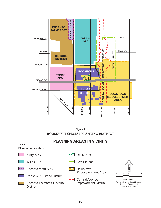

**ROOSEVELT SPECIAL PLANNING DISTRICT Figure 6**

## **PLANNING AREAS IN VICINITY**

**LEGEND**

| <b>Planning areas shown</b>                          |                                       |   |                                                                                 |
|------------------------------------------------------|---------------------------------------|---|---------------------------------------------------------------------------------|
| <b>Story SPD</b>                                     | Deck Park                             |   |                                                                                 |
| <b>Willo SPD</b>                                     | <b>Arts District</b>                  |   |                                                                                 |
| <b>Encanto Vista SPD</b>                             | Downtown<br><b>Redevelopment Area</b> |   | <b>NORTH</b>                                                                    |
| <b>Roosevelt Historic District</b>                   | <b>Central Avenue</b>                 | 0 | 1/2<br>1/4<br><b>SCALE IN MILES</b>                                             |
| <b>Encanto Palmcroft Historic</b><br><b>District</b> | <b>Improvement District</b>           |   | Prepared by the City of Phoenix<br><b>Planning Department</b><br>September 1989 |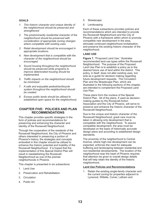#### **GOALS**

- *1. This historic character and unique identity of the neighborhood should be preserved and strengthened*
- *2. The predominantly residential character of the neighborhood should be preserved with consideration of appropriate zoning changes where compatible with existing uses.*
- *3. Retail development should be encouraged in appropriate locations.*
- *4. New development that is compatible with the character of the neighborhood should be encouraged.*
- *5. Sound housing throughout the neighborhood should be preserved while programs to improve deteriorated housing should be implemented.*
- *6. Traffic impacts on the neighborhood should be minimized.*
- *7. A safe and enjoyable pedestrian/bicycle system throughout the neighborhood should be created.*
- *8. Excess public lands should be utilized to established open space for the neighborhood.*

#### **CHAPTER FIVE: POLICIES AND PLAN RECOMMENDATIONS**

This chapter provides specific strategies in the form of policies and recommendations for preserving and enhancing the character and identity of the Roosevelt Neighborhood.

Through the cooperation of the residents of the Roosevelt Neighborhood, the City of Phoenix and others interested in preserving a portion of Phoenix's history, the strategies and concepts embodied in this chapter should be utilized to enhance the historic potential and livability of the Roosevelt Neighborhood. It is hoped that the implementation of this Special District Plan will result in reestablishing the Roosevelt Neighborhood as one of the premier neighborhoods in Phoenix.

This chapter is presented in six subsections:

- 1. Land Use
- 2. Preservation and Rehabilitation
- 3. Circulation
- 4. Public Art
- 5. Streetscape
- 6. Landscaping

Each of these subsections provides policies and recommendations which are intended to provide the Roosevelt Neighborhood and the City of Phoenix with a framework within which to promote compatible new development in the area, stimulate continued neighborhood revitalization, and preserve the existing historic character of the neighborhood.

#### **LAND USE**

Figure 7, "Proposed Land Use," illustrates recommended land use types within the Roosevelt Neighborhood. The purpose of the Proposed Land Use Plan is to establish a policy as to the desired future use of land within the district. This policy, in itself, does not alter existing uses, but acts as a guide for decision making regarding future development requests. The Circulation Plan and the Streetscape Plan, which are illustrated in the following sections of this chapter, are intended to complement the Proposed Land Use Plan.

These plans form the nucleus of the Special District Plan. All of the plans, if used as decisionmaking guides by the Roosevelt Action Association and the City of Phoenix, will serve to preserve and enhance the historic character of the Roosevelt Neighborhood.

Due to the unique and historic character of the Roosevelt Neighborhood, great care must be taken in allowing only development that is compatible with the neighborhood. To assure compatible development, the area must be developed on the basis of historically accurate design plans and according to established design standards.

The proximity of the neighborhood to Central Avenue, where high-rise development can be expected, enforces the need for adequate buffering and landscaping between residential and non-residential developments. The location of the neighborhood near the heart of Phoenix requires that attention be given to overall design details that will help retain the identity of the historic neighborhood.

#### **Land Use Policies and Recommendations**

1. Retain the existing single-family character and the current zoning for properties adjacent to Lynwood, Willetta, Culver, Latham and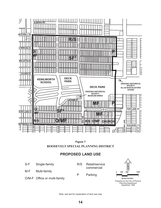

**ROOSEVELT SPECIAL PLANNING DISTRICT Figure 7**

## **PROPOSED LAND USE**

- S-F Single-family
- M-F Multi-family
- O/M-F Office or multi-family
- R/S Retail/service commercial
- P Parking



Note: see text for explanation of land use map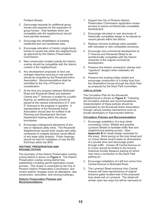Portland Streets.

- 2. Discourage requests for additional group homes and requests for the expansion of group homes. Only facilities which are compatible with the neighborhood should have permits renewed.
- 3. Encourage the rehabilitation of existing residential and non-residential uses.
- 4. Encourage relocation of historic single-family homes to vacant lots within the neighborhood as approved by the Historic Preservation Commission.
- 5. New construction located outside the historic overlay should be compatible with the historic context of the neighborhood.
- 6. Any development proposals or land use changes requiring rezoning or use permits should be reviewed by the Roosevelt Action Association. Recommendations shall be submitted to the City of Phoenix for consideration.
- 7. At the time any property between McDowell Road and Roosevelt Street and between Central and  $7<sup>th</sup>$  Avenues is posted for a public hearing, an additional posting should be placed at the nearest intersections of  $3<sup>rd</sup>$  and  $5<sup>th</sup>$  Avenues to the property in question. A representative of the Roosevelt Action Association should also be notified of all Planning and Development Services Department hearing within the above boundaries.
- 8. Encourage underground placement of any new or replaced utility wires. The Roosevelt Neighborhood should work closely with utility companies to mitigate adverse visual effects of any large utility projects. Public hearings should be held for installation of new 69,000 KVA lines within the SPD.

#### **HISTORIC PRESERVATION AND REHABILITATION**

The boundary of the Historic Preservation overlay zoning district is shown on Figure 2. The Historic Preservation overlay zoning district has established a building permit application review process. This review is conducted by the City of Phoenix Historic Preservation Commission, and covers exterior changes (such as alterations, new construction, demolition, and moving buildings).

#### **Historic Preservation Policies and Recommendations**

- 1. Support the City of Phoenix Historic Preservation Commission application review process to assure architecturally compatible development.
- 2. Encourage relocated or new structures of historically compatible design to be placed on vacant parcels within the district.
- 3. Replace intrusive buildings when possible with relocated or new compatible structures.
- 4. Encourage new commercial development at 3<sup>rd</sup> Avenue and Roosevelt Street to be architecturally compatible with the historic character of the original commercial development.
- 5. Preserve the historic contractors' stamps and "signature" designs when sidewalks are repaired.
- 6. Preserve the existing trolley exhibit and encourage construction of a trolley loop from the Shackelford House through the Deck Park as proposed by the Deck Park Committee.

#### **CIRCULATION**

The Circulation Plan for the Roosevelt Neighborhood is shown on Figure 8. Following are circulation policies and recommendations. Implementation of these policies should be coordinated by the Roosevelt Action Association through various funding mechanisms such as private developers or improvement districts.

#### **Circulation Policies and Recommendation**

- 1. Encourage installation of a loop street connecting Culver, Willetta and possibly Lynwood Streets to facilitate traffic flow and neighborhood parking access. (See Appendix B for street design examples for this area). Brick paving on the loop street and on Culver Street would create an atmosphere of a private drive and discourage public through traffic. Access off Central Avenue on to Culver should be limited to the Arizona Historical Society Museum parking lot which may have a connection to the Deck Park parking lot.
- 2. Encourage installation of a left turn arrow from Central Avenue to McDowell Road.
- 3. The Lynwood Street entrance from Central Avenue will have reproductions of original entrance gates located east of the proposed loop street exit on Lynwood. The street will remain open two ways but will be narrowed at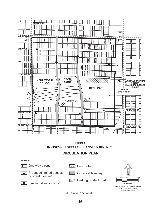



## **CIRCULATION PLAN**



See Appendix B for examples.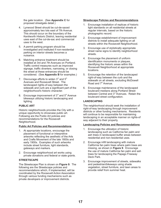the gate location. (See **Appendix C** for proposed streetgate detail.)

- 4. Lynwood Street should be cul-de-saced approximately two lots east of 7th Avenue. This should occur on the boundary of the Kenilworth Historic District, leaving residential uses east of the cul-de-sac and commercial uses to the west.
- 5. A permit parking program should be investigated and instituted if non-residential parking on interior streets becomes a nuisance.
- 6. Matching entrance treatment should be installed at 3rd and 7th Avenues on Portland. Traffic control measures such as improved signage, traffic diverters, narrowing, or closing the street at these entrances should be considered. (See **Appendix B** for examples.)
- 7. Discourage efforts to widen  $3<sup>rd</sup>$  and  $5<sup>th</sup>$ Avenues and Roosevelt Street. The landscaped rights-of-way between the sidewalk and curb are a significant part of the neighborhood's historic character.
- 8. Encourage improvement of  $3<sup>rd</sup>$  and  $5<sup>th</sup>$  Avenue bikeways utilizing historic landscaping and lighting.

#### **PUBLIC ART**

Historic neighborhoods provides the City with a unique opportunity to showcase public art. Following are the Public Art policies and recommendations for the Roosevelt Neighborhood.

#### **Public Art Policies and Recommendations**

- 1. At appropriate locations, encourage the placement of functional or interpretive artworks reflecting the aesthetic of the Arts and Crafts Movement of the late 1800s and early 1900s. Examples of such artworks include street furniture, light standards, gateways and markers.
- 2. Encourage neighborhood art works using private donations and federal or state grants.

#### **STREETSCAPE**

The Streetscape Plan is shown on Figure 9. The following are the Streetscape policies and recommendations which, if implemented, will be coordinated by the Roosevelt Action Association through various funding mechanisms such as private developers or improvement districts.

#### **Streetscape Policies and Recommendations**

- 1. Encourage installation of replicas of historic light standards on all residential streets at regular intervals, based on the historic photographic record.
- 2. Encourage establishment of improvement districts to install adequate lighting on all streets within the Roosevelt Neighborhood.
- 3. Encourage use of stylistically appropriate street name signs to identify neighborhood streets.
- 4. Encourage the placement of uniform identification monuments or plaques, identifying the historic areas within the Roosevelt Neighborhood at appropriate locations.
- 5. Encourage the retention of the landscaped right-of-way between the curb and the sidewalk on all streets, excluding McDowell Road and 7<sup>th</sup> Avenue.
- 6. Encourage maintenance of the landscaped boulevard medians along Portland Street between Central and 3<sup>rd</sup> Avenues. Retain the boulevard street configuration.

#### **LANDSCAPING**

The neighborhood should seek the installation of right-of-way landscaping through improvement districts or other funding mechanisms. Residents will continue to be responsible for maintaining landscaping in an acceptable manner on rights-of way adjacent to their property.

#### **Landscaping Policies and Recommendations**

- 1. Encourage the utilization of historic landscaping such as California fan palm and ash trees in landscaped buffer areas between residential and non-residential uses.
- 2. Encourage infill landscaping with mature California fan palm trees where palm trees are missing, as shown in Figure 9. Encourage the use of mature California fan palm and ash trees for landscaping the Papago Freeway Deck Park.
- 3. Encourage improvement of streets, sidewalks and pedestrian/bikeways using shade vegetation, street furniture, and lawn areas to provide relief from summer heat.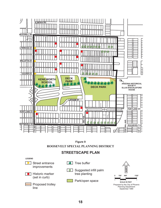

**ROOSEVELT SPECIAL PLANNING DISTRICT Figure 9**

## **STREETSCAPE PLAN**

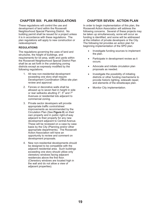### **CHAPTER SIX: PLAN REGULATIONS**

These regulations will control the use and development of land within the Roosevelt Neighborhood Special Planning District. No building permit shall be issued for a project unless it is in accordance with these regulations. The plan regulations will apply to new construction or redevelopment.

#### **REGULATIONS**

The regulations governing the uses of land and structures, the height of buildings, and requirements for lot area, width and yards within the Roosevelt Neighborhood Special District Plan shall be as set forth in the underlying zoning districts except as expressly modified by the following regulations.

- 1. All new non-residential development exceeding one story shall require Development Coordination Office site plan review and approval.
- 2. Fences or decorative walls shall be allowed up to seven feet in height in side or rear setbacks abutting 3<sup>rd</sup>, 5<sup>th</sup> and 7<sup>th</sup> Avenues or residential lots adjacent to commercial zoning.
- 3. Private sector developers will provide appropriate traffic control/street improvements as recommended by the Circulation Plan (See Figure 8) on their own property and in public right-of-way adjacent to their property for any new development adjacent to Central Avenue. These will be reviewed on a case by case basis by the City (Planning and/or other appropriate departments). The Roosevelt Action Association will have an opportunity to review and comment on development proposals.
- 4. New non-residential developments should be designed to be compatible with the adjacent residential area. Such buildings exceeding one story should utilize only clerestory windows facing adjacent residences above the first floor. (Clerestory windows are located high in the wall and do not allow a view of adjacent properties).

#### **CHAPTER SEVEN: ACTION PLAN**

In order to begin implementation of this plan, the Roosevelt Action Association will address the following concerns. Several of these projects may be taken up simultaneously, some will occur as funding is identified, and some will be addressed at the initiation of private developers or the City. The following list provides an action plan for beginning implementation of the SPD plan.

- Investigate funding sources to implement the plan.  $\overline{a}$
- Participate in development review as it occurs.  $\overline{a}$
- Advocate and initiate circulation plan proposals as needed.  $\overline{a}$
- Investigate the possibility of initiating districts or other funding mechanisms to provide historic lighting, sidewalk repair, and elements of the streetscape plan.  $\overline{a}$
- Monitor City implementation.  $\overline{a}$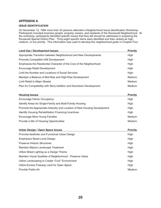#### **APPENDIX A**

#### **ISSUE IDENTIFICATION**

On November 12, 1984 more than 30 persons attended a Neighborhood Issue Identification Workshop. Participants included business people, property owners, and residents of the Roosevelt Neighborhood. At the workshop, participants identified specific issues that they felt should be addressed in preparing the Roosevelt Special District Plan. Thirty-eight specific items were identified and then ranked as high, medium, or low priority. This information was used to develop the neighborhood goals in Chapter Four.

| <b>Land Use / Development Issues</b>                                | <b>Priority</b> |
|---------------------------------------------------------------------|-----------------|
| Appropriate Transition between Neighborhood and New Developments    | High            |
| Promote Compatible Infill Development                               | High            |
| Emphasize the Residential Character of the Core of the Neighborhood | High            |
| Encourage Retail Development                                        | High            |
| Limit the Number and Locations of Social Services                   | High            |
| Maintain a Balance of Mid-Rise and High-Rise Development            | Medium          |
| <b>Limit Retail to Major Streets</b>                                | Medium          |
| Plan for Compatibility with Story Addition and Downtown Development | Medium          |

| <b>Housing Issues</b>                                                     | Priority |
|---------------------------------------------------------------------------|----------|
| <b>Encourage Owner Occupancy</b>                                          | High     |
| Identify Areas for Single-Family and Multi-Family Housing                 | High     |
| Promote the Appropriate Intensity and Location of New Housing Development | High     |
| <b>Identify Housing Rehabilitation Financing Incentives</b>               | High     |
| Encourage More Young Families                                             | Medium   |
| Provide a Mix of Housing Opportunities                                    | Medium   |

| Urban Design / Open Space Issues                          | <b>Priority</b> |
|-----------------------------------------------------------|-----------------|
| Promote Aesthetic and Functional Urban Design             | High            |
| Emphasize Street Level Design                             | High            |
| <b>Preserve Historic Structures</b>                       | High            |
| Maintain Mature Landscape Treatment                       | High            |
| Utilize Street Lighting as a Design Theme                 | High            |
| Maintain Visual Qualities of Neighborhood: Preserve Views | High            |
| Utilize Landscaping to Create "Cool" Environment          | High            |
| Utilize Excess Freeway Land for Open Space                | High            |
| Provide Public Art                                        | Medium          |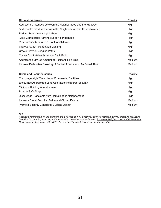| <b>Circulation Issues</b>                                         | <b>Priority</b> |
|-------------------------------------------------------------------|-----------------|
| Address the Interface between the Neighborhood and the Freeway    | High            |
| Address the Interface between the Neighborhood and Central Avenue | High            |
| Reduce Traffic into Neighborhood                                  | High            |
| Keep Commercial Parking out of Neighborhood                       | High            |
| Provide Safe Access to School for Children                        | High            |
| Improve Street / Pedestrian Lighting                              | High            |
| Create Bicycle / Jogging Paths                                    | High            |
| Create Comfortable Access to Deck Park                            | High            |
| Address the Limited Amount of Residential Parking                 | <b>Medium</b>   |
| Improve Pedestrian Crossing of Central Avenue and McDowell Road   | Medium          |

| <b>Crime and Security Issues</b>                         | <b>Priority</b> |
|----------------------------------------------------------|-----------------|
| Encourage Night Time Use of Commercial Facilities        | High            |
| Encourage Appropriate Land Use Mix to Reinforce Security | High            |
| Minimize Building Abandonment                            | High            |
| <b>Provide Safe Alleys</b>                               | High            |
| Discourage Transients from Remaining in Neighborhood     | High            |
| Increase Street Security Police and Citizen Patrols      | Medium          |
| <b>Promote Security Conscious Building Design</b>        | <b>Medium</b>   |

*Note:*

*Additional information on the structure and activities of the Roosevelt Action Association, survey methodology, issue identification, funding sources, and preservation materials can be found in prepared by BRW, Inc. for the Roosevelt Action Association in 1985. Roosevelt Neighborhood and Preservation Development Plan*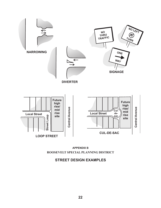



## **STREET DESIGN EXAMPLES**